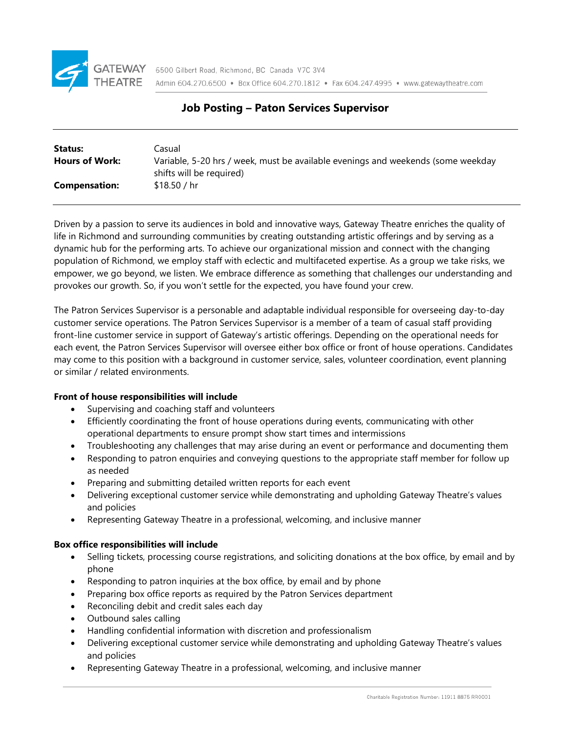

# **Job Posting – Paton Services Supervisor**

| Status:               | Casual                                                                           |
|-----------------------|----------------------------------------------------------------------------------|
| <b>Hours of Work:</b> | Variable, 5-20 hrs / week, must be available evenings and weekends (some weekday |
|                       | shifts will be required)                                                         |
| <b>Compensation:</b>  | \$18.50 / hr                                                                     |
|                       |                                                                                  |

Driven by a passion to serve its audiences in bold and innovative ways, Gateway Theatre enriches the quality of life in Richmond and surrounding communities by creating outstanding artistic offerings and by serving as a dynamic hub for the performing arts. To achieve our organizational mission and connect with the changing population of Richmond, we employ staff with eclectic and multifaceted expertise. As a group we take risks, we empower, we go beyond, we listen. We embrace difference as something that challenges our understanding and provokes our growth. So, if you won't settle for the expected, you have found your crew.

The Patron Services Supervisor is a personable and adaptable individual responsible for overseeing day-to-day customer service operations. The Patron Services Supervisor is a member of a team of casual staff providing front-line customer service in support of Gateway's artistic offerings. Depending on the operational needs for each event, the Patron Services Supervisor will oversee either box office or front of house operations. Candidates may come to this position with a background in customer service, sales, volunteer coordination, event planning or similar / related environments.

# **Front of house responsibilities will include**

- Supervising and coaching staff and volunteers
- Efficiently coordinating the front of house operations during events, communicating with other operational departments to ensure prompt show start times and intermissions
- Troubleshooting any challenges that may arise during an event or performance and documenting them
- Responding to patron enquiries and conveying questions to the appropriate staff member for follow up as needed
- Preparing and submitting detailed written reports for each event
- Delivering exceptional customer service while demonstrating and upholding Gateway Theatre's values and policies
- Representing Gateway Theatre in a professional, welcoming, and inclusive manner

# **Box office responsibilities will include**

- Selling tickets, processing course registrations, and soliciting donations at the box office, by email and by phone
- Responding to patron inquiries at the box office, by email and by phone
- Preparing box office reports as required by the Patron Services department
- Reconciling debit and credit sales each day
- Outbound sales calling
- Handling confidential information with discretion and professionalism
- Delivering exceptional customer service while demonstrating and upholding Gateway Theatre's values and policies
- Representing Gateway Theatre in a professional, welcoming, and inclusive manner